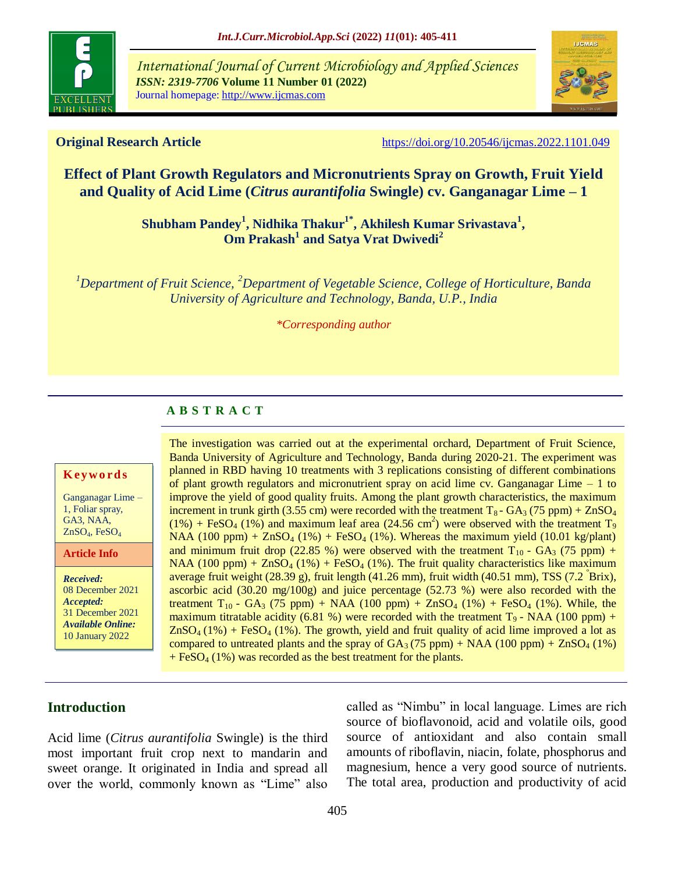

*International Journal of Current Microbiology and Applied Sciences ISSN: 2319-7706* **Volume 11 Number 01 (2022)**  Journal homepage: http://www.ijcmas.com



**Original Research Article** <https://doi.org/10.20546/ijcmas.2022.1101.049>

# **Effect of Plant Growth Regulators and Micronutrients Spray on Growth, Fruit Yield and Quality of Acid Lime (***Citrus aurantifolia* **Swingle) cv. Ganganagar Lime – 1**

**Shubham Pandey<sup>1</sup> , Nidhika Thakur1\*, Akhilesh Kumar Srivastava<sup>1</sup> , Om Prakash<sup>1</sup> and Satya Vrat Dwivedi<sup>2</sup>**

*<sup>1</sup>Department of Fruit Science, <sup>2</sup>Department of Vegetable Science, College of Horticulture, Banda University of Agriculture and Technology, Banda, U.P., India*

*\*Corresponding author*

## **A B S T R A C T**

### **K ey w o rd s**

Ganganagar Lime – 1, Foliar spray, GA3, NAA, ZnSO4, FeSO<sup>4</sup>

**Article Info**

*Received:*  08 December 2021 *Accepted:*  31 December 2021 *Available Online:* 10 January 2022

The investigation was carried out at the experimental orchard, Department of Fruit Science, Banda University of Agriculture and Technology, Banda during 2020-21. The experiment was planned in RBD having 10 treatments with 3 replications consisting of different combinations of plant growth regulators and micronutrient spray on acid lime  $cv$ . Ganganagar Lime  $-1$  to improve the yield of good quality fruits. Among the plant growth characteristics, the maximum increment in trunk girth (3.55 cm) were recorded with the treatment  $T_8$ - GA<sub>3</sub> (75 ppm) + ZnSO<sub>4</sub>  $(1%)$  + FeSO<sub>4</sub> (1%) and maximum leaf area (24.56 cm<sup>2</sup>) were observed with the treatment T<sub>9</sub> NAA (100 ppm) +  $ZnSO_4$  (1%) +  $FeSO_4$  (1%). Whereas the maximum yield (10.01 kg/plant) and minimum fruit drop (22.85 %) were observed with the treatment  $T_{10}$  -  $GA_3$  (75 ppm) + NAA (100 ppm) +  $ZnSO_4$  (1%) + FeSO<sub>4</sub> (1%). The fruit quality characteristics like maximum average fruit weight  $(28.39 \text{ g})$ , fruit length  $(41.26 \text{ mm})$ , fruit width  $(40.51 \text{ mm})$ , TSS  $(7.2 \text{ Brix})$ , ascorbic acid (30.20 mg/100g) and juice percentage (52.73 %) were also recorded with the treatment T<sub>10</sub> - GA<sub>3</sub> (75 ppm) + NAA (100 ppm) + ZnSO<sub>4</sub> (1%) + FeSO<sub>4</sub> (1%). While, the maximum titratable acidity (6.81 %) were recorded with the treatment  $T_9$  - NAA (100 ppm) +  $ZnSO<sub>4</sub>(1%) + FeSO<sub>4</sub>(1%)$ . The growth, yield and fruit quality of acid lime improved a lot as compared to untreated plants and the spray of  $GA_3$  (75 ppm) + NAA (100 ppm) + ZnSO<sub>4</sub> (1%)  $+ \text{FeSO}_4 (1\%)$  was recorded as the best treatment for the plants.

## **Introduction**

Acid lime (*Citrus aurantifolia* Swingle) is the third most important fruit crop next to mandarin and sweet orange. It originated in India and spread all over the world, commonly known as "Lime" also

called as "Nimbu" in local language. Limes are rich source of bioflavonoid, acid and volatile oils, good source of antioxidant and also contain small amounts of riboflavin, niacin, folate, phosphorus and magnesium, hence a very good source of nutrients. The total area, production and productivity of acid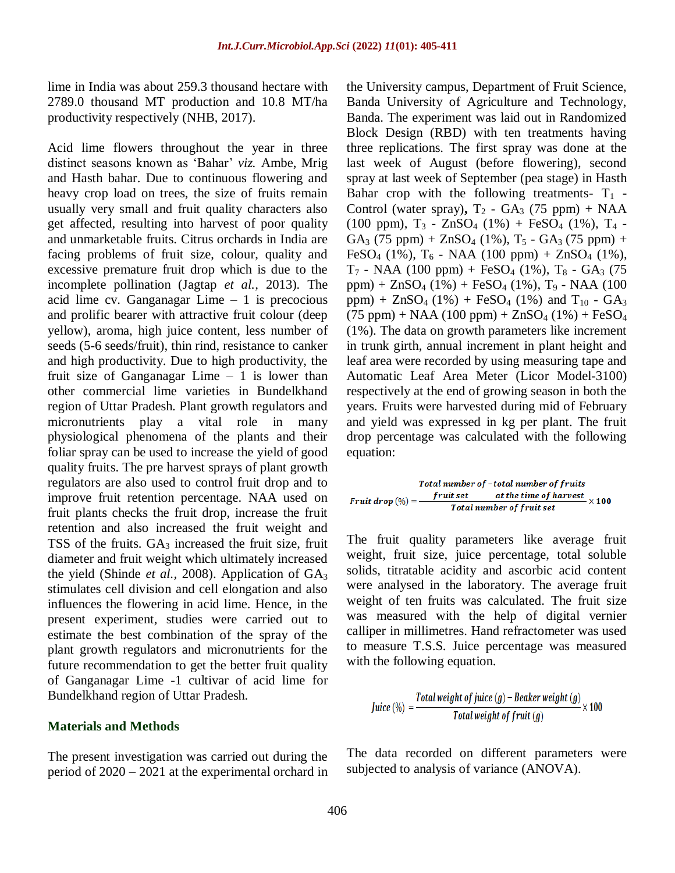lime in India was about 259.3 thousand hectare with 2789.0 thousand MT production and 10.8 MT/ha productivity respectively (NHB, 2017).

Acid lime flowers throughout the year in three distinct seasons known as "Bahar" *viz.* Ambe, Mrig and Hasth bahar. Due to continuous flowering and heavy crop load on trees, the size of fruits remain usually very small and fruit quality characters also get affected, resulting into harvest of poor quality and unmarketable fruits. Citrus orchards in India are facing problems of fruit size, colour, quality and excessive premature fruit drop which is due to the incomplete pollination (Jagtap *et al.,* 2013). The acid lime cv. Ganganagar Lime  $-1$  is precocious and prolific bearer with attractive fruit colour (deep yellow), aroma, high juice content, less number of seeds (5-6 seeds/fruit), thin rind, resistance to canker and high productivity. Due to high productivity, the fruit size of Ganganagar Lime  $-1$  is lower than other commercial lime varieties in Bundelkhand region of Uttar Pradesh. Plant growth regulators and micronutrients play a vital role in many physiological phenomena of the plants and their foliar spray can be used to increase the yield of good quality fruits. The pre harvest sprays of plant growth regulators are also used to control fruit drop and to improve fruit retention percentage. NAA used on fruit plants checks the fruit drop, increase the fruit retention and also increased the fruit weight and TSS of the fruits. GA<sub>3</sub> increased the fruit size, fruit diameter and fruit weight which ultimately increased the yield (Shinde *et al.*, 2008). Application of GA<sub>3</sub> stimulates cell division and cell elongation and also influences the flowering in acid lime. Hence, in the present experiment, studies were carried out to estimate the best combination of the spray of the plant growth regulators and micronutrients for the future recommendation to get the better fruit quality of Ganganagar Lime -1 cultivar of acid lime for Bundelkhand region of Uttar Pradesh.

## **Materials and Methods**

The present investigation was carried out during the period of 2020 – 2021 at the experimental orchard in the University campus, Department of Fruit Science, Banda University of Agriculture and Technology, Banda. The experiment was laid out in Randomized Block Design (RBD) with ten treatments having three replications. The first spray was done at the last week of August (before flowering), second spray at last week of September (pea stage) in Hasth Bahar crop with the following treatments-  $T_1$  -Control (water spray),  $T_2$  - GA<sub>3</sub> (75 ppm) + NAA  $(100 \text{ ppm})$ , T<sub>3</sub> - ZnSO<sub>4</sub>  $(1\%)$  + FeSO<sub>4</sub>  $(1\%)$ , T<sub>4</sub> - $GA_3$  (75 ppm) +  $ZnSO_4$  (1%),  $T_5$  -  $GA_3$  (75 ppm) + FeSO<sub>4</sub> (1%),  $T_6$  - NAA (100 ppm) + ZnSO<sub>4</sub> (1%),  $T_7$  - NAA (100 ppm) + FeSO<sub>4</sub> (1%),  $T_8$  - GA<sub>3</sub> (75) ppm) +  $ZnSO_4$  (1%) +  $FeSO_4$  (1%),  $T_9$  - NAA (100) ppm) +  $ZnSO_4$  (1%) +  $FeSO_4$  (1%) and  $T_{10}$  -  $GA_3$  $(75 \text{ ppm}) + \text{NAA} (100 \text{ ppm}) + \text{ZnSO}_4 (1\%) + \text{FeSO}_4$ (1%). The data on growth parameters like increment in trunk girth, annual increment in plant height and leaf area were recorded by using measuring tape and Automatic Leaf Area Meter (Licor Model-3100) respectively at the end of growing season in both the years. Fruits were harvested during mid of February and yield was expressed in kg per plant. The fruit drop percentage was calculated with the following equation:

Total number of -total number of fruits Fruit drop  $(\%) = \frac{fruit set}{\sqrt{1 - \frac{1}{n}}}$  at the time of harvest  $\times 100$ **Total number of fruit set** 

The fruit quality parameters like average fruit weight, fruit size, juice percentage, total soluble solids, titratable acidity and ascorbic acid content were analysed in the laboratory. The average fruit weight of ten fruits was calculated. The fruit size was measured with the help of digital vernier calliper in millimetres. Hand refractometer was used to measure T.S.S. Juice percentage was measured with the following equation.

$$
Juice (\%) = \frac{Total weight of juice(g) - Beaker weight(g)}{Total weight of fruit(g)} \times 100
$$

The data recorded on different parameters were subjected to analysis of variance (ANOVA).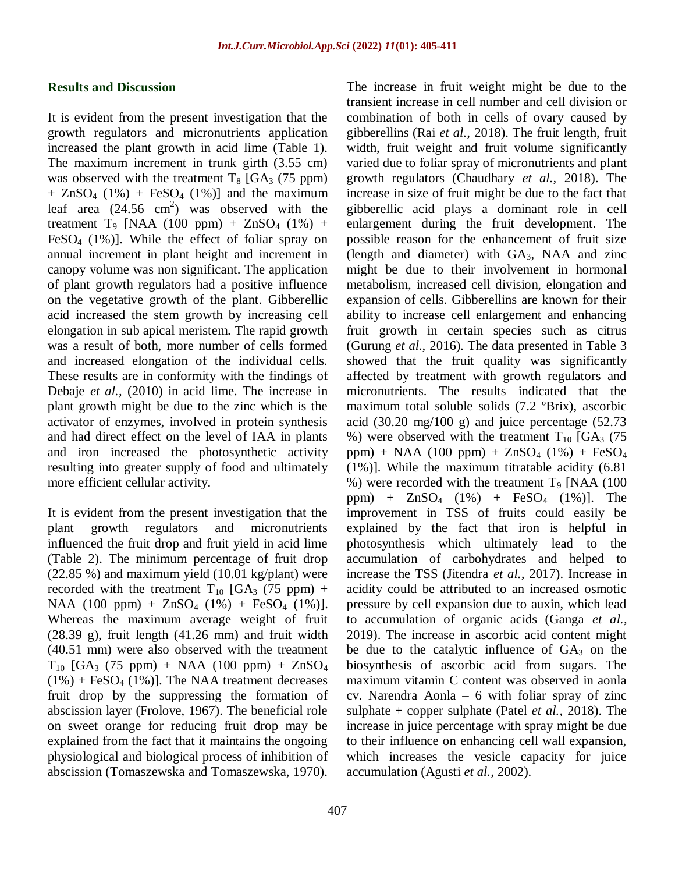#### **Results and Discussion**

It is evident from the present investigation that the growth regulators and micronutrients application increased the plant growth in acid lime (Table 1). The maximum increment in trunk girth (3.55 cm) was observed with the treatment  $T_8$  [GA<sub>3</sub> (75 ppm)  $+$  ZnSO<sub>4</sub> (1%) + FeSO<sub>4</sub> (1%)] and the maximum leaf area  $(24.56 \text{ cm}^2)$  was observed with the treatment T<sub>9</sub> [NAA (100 ppm) + ZnSO<sub>4</sub> (1%) + FeSO<sub>4</sub>  $(1\%)$ ]. While the effect of foliar spray on annual increment in plant height and increment in canopy volume was non significant. The application of plant growth regulators had a positive influence on the vegetative growth of the plant. Gibberellic acid increased the stem growth by increasing cell elongation in sub apical meristem. The rapid growth was a result of both, more number of cells formed and increased elongation of the individual cells. These results are in conformity with the findings of Debaje *et al.,* (2010) in acid lime. The increase in plant growth might be due to the zinc which is the activator of enzymes, involved in protein synthesis and had direct effect on the level of IAA in plants and iron increased the photosynthetic activity resulting into greater supply of food and ultimately more efficient cellular activity.

It is evident from the present investigation that the plant growth regulators and micronutrients influenced the fruit drop and fruit yield in acid lime (Table 2). The minimum percentage of fruit drop (22.85 %) and maximum yield (10.01 kg/plant) were recorded with the treatment  $T_{10}$  [GA<sub>3</sub> (75 ppm) + NAA (100 ppm) +  $ZnSO_4$  (1%) +  $FeSO_4$  (1%)]. Whereas the maximum average weight of fruit (28.39 g), fruit length (41.26 mm) and fruit width (40.51 mm) were also observed with the treatment  $T_{10}$  [GA<sub>3</sub> (75 ppm) + NAA (100 ppm) + ZnSO<sub>4</sub>  $(1\%)$  + FeSO<sub>4</sub> (1%)]. The NAA treatment decreases fruit drop by the suppressing the formation of abscission layer (Frolove, 1967). The beneficial role on sweet orange for reducing fruit drop may be explained from the fact that it maintains the ongoing physiological and biological process of inhibition of abscission (Tomaszewska and Tomaszewska, 1970).

transient increase in cell number and cell division or combination of both in cells of ovary caused by gibberellins (Rai *et al.,* 2018). The fruit length, fruit width, fruit weight and fruit volume significantly varied due to foliar spray of micronutrients and plant growth regulators (Chaudhary *et al.,* 2018). The increase in size of fruit might be due to the fact that gibberellic acid plays a dominant role in cell enlargement during the fruit development. The possible reason for the enhancement of fruit size (length and diameter) with GA3, NAA and zinc might be due to their involvement in hormonal metabolism, increased cell division, elongation and expansion of cells. Gibberellins are known for their ability to increase cell enlargement and enhancing fruit growth in certain species such as citrus (Gurung *et al.,* 2016). The data presented in Table 3 showed that the fruit quality was significantly affected by treatment with growth regulators and micronutrients. The results indicated that the maximum total soluble solids (7.2 ºBrix), ascorbic acid (30.20 mg/100 g) and juice percentage  $(52.73)$ %) were observed with the treatment  $T_{10}$  [GA<sub>3</sub> (75) ppm) + NAA (100 ppm) +  $ZnSO_4$  (1%) +  $FeSO_4$ (1%)]. While the maximum titratable acidity (6.81 %) were recorded with the treatment  $T<sub>9</sub>$  [NAA (100) ppm) +  $ZnSO_4$  (1%) +  $FeSO_4$  (1%)]. The improvement in TSS of fruits could easily be explained by the fact that iron is helpful in photosynthesis which ultimately lead to the accumulation of carbohydrates and helped to increase the TSS (Jitendra *et al.,* 2017). Increase in acidity could be attributed to an increased osmotic pressure by cell expansion due to auxin, which lead to accumulation of organic acids (Ganga *et al.,*  2019). The increase in ascorbic acid content might be due to the catalytic influence of  $GA<sub>3</sub>$  on the biosynthesis of ascorbic acid from sugars. The maximum vitamin C content was observed in aonla cv. Narendra Aonla – 6 with foliar spray of zinc sulphate + copper sulphate (Patel *et al.,* 2018). The increase in juice percentage with spray might be due to their influence on enhancing cell wall expansion, which increases the vesicle capacity for juice accumulation (Agusti *et al.,* 2002).

The increase in fruit weight might be due to the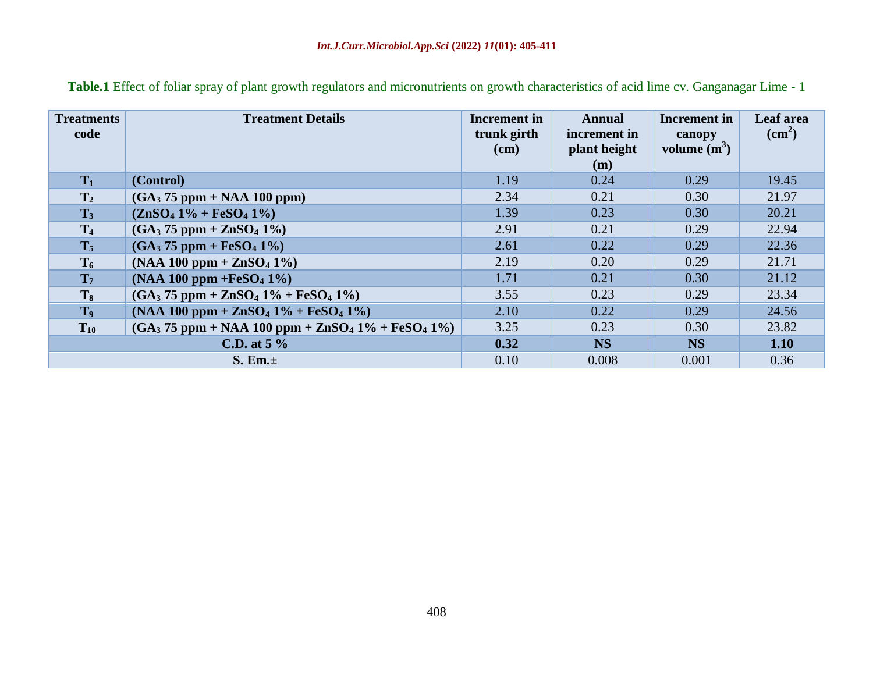| <b>Treatments</b><br>code | <b>Treatment Details</b>                           | Increment in<br>trunk girth<br>$cm$ ) | <b>Annual</b><br>increment in<br>plant height<br>(m) | <b>Increment</b> in<br>canopy<br>volume $(m^3)$ | Leaf area<br>$\text{cm}^2$ ) |
|---------------------------|----------------------------------------------------|---------------------------------------|------------------------------------------------------|-------------------------------------------------|------------------------------|
| $T_1$                     | (Control)                                          | 1.19                                  | 0.24                                                 | 0.29                                            | 19.45                        |
| $T_2$                     | $(GA3 75 ppm + NAA 100 ppm)$                       | 2.34                                  | 0.21                                                 | 0.30                                            | 21.97                        |
| $T_3$                     | $(ZnSO4 1\% + FeSO4 1\%)$                          | 1.39                                  | 0.23                                                 | 0.30                                            | 20.21                        |
| T <sub>4</sub>            | $(GA_3 75 ppm + ZnSO_4 1\%)$                       | 2.91                                  | 0.21                                                 | 0.29                                            | 22.94                        |
| $T_5$                     | $(GA_3 75 ppm + FeSO_4 1\%)$                       | 2.61                                  | 0.22                                                 | 0.29                                            | 22.36                        |
| $T_6$                     | $(NAA 100 ppm + ZnSO4 1%)$                         | 2.19                                  | 0.20                                                 | 0.29                                            | 21.71                        |
| T <sub>7</sub>            | $(NAA 100 ppm + FeSO4 1%)$                         | 1.71                                  | 0.21                                                 | 0.30                                            | 21.12                        |
| $T_8$                     | $(GA_3 75 ppm + ZnSO_4 1\% + FeSO_4 1\%)$          | 3.55                                  | 0.23                                                 | 0.29                                            | 23.34                        |
| T <sub>9</sub>            | $(NAA 100 ppm + ZnSO4 1% + FeSO4 1%)$              | 2.10                                  | 0.22                                                 | 0.29                                            | 24.56                        |
| $T_{10}$                  | $(GA3 75 ppm + NAA 100 ppm + ZnSO4 1% + FeSO4 1%)$ | 3.25                                  | 0.23                                                 | 0.30                                            | 23.82                        |
| C.D. at $5\%$             |                                                    | 0.32                                  | <b>NS</b>                                            | <b>NS</b>                                       | 1.10                         |
| S. Em.±                   |                                                    | 0.10                                  | 0.008                                                | 0.001                                           | 0.36                         |

**Table.1** Effect of foliar spray of plant growth regulators and micronutrients on growth characteristics of acid lime cv. Ganganagar Lime - 1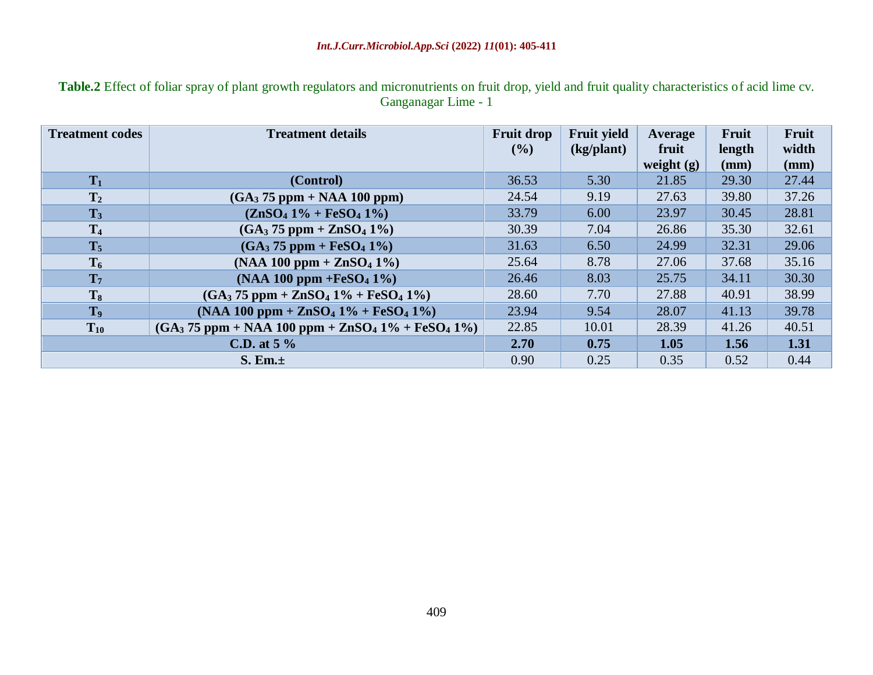**Table.2** Effect of foliar spray of plant growth regulators and micronutrients on fruit drop, yield and fruit quality characteristics of acid lime cv. Ganganagar Lime - 1

| <b>Treatment codes</b> | <b>Treatment details</b>                           | <b>Fruit drop</b><br>$($ %) | <b>Fruit yield</b><br>(kg/plant) | Average<br>fruit<br>weight $(g)$ | Fruit<br>length<br>(mm) | Fruit<br>width<br>(mm) |
|------------------------|----------------------------------------------------|-----------------------------|----------------------------------|----------------------------------|-------------------------|------------------------|
| $T_1$                  | (Control)                                          | 36.53                       | 5.30                             | 21.85                            | 29.30                   | 27.44                  |
| T <sub>2</sub>         | $(GA3 75 ppm + NAA 100 ppm)$                       | 24.54                       | 9.19                             | 27.63                            | 39.80                   | 37.26                  |
| $T_3$                  | $(ZnSO4 1\% + FeSO4 1\%)$                          | 33.79                       | 6.00                             | 23.97                            | 30.45                   | 28.81                  |
| T <sub>4</sub>         | $(GA_3 75 ppm + ZnSO_4 1\%)$                       | 30.39                       | 7.04                             | 26.86                            | 35.30                   | 32.61                  |
| $T_5$                  | $(GA_3 75 ppm + FeSO_4 1\%)$                       | 31.63                       | 6.50                             | 24.99                            | 32.31                   | 29.06                  |
| $T_6$                  | $(NAA 100 ppm + ZnSO4 1%)$                         | 25.64                       | 8.78                             | 27.06                            | 37.68                   | 35.16                  |
| T <sub>7</sub>         | $(NAA 100 ppm + FeSO4 1%)$                         | 26.46                       | 8.03                             | 25.75                            | 34.11                   | 30.30                  |
| $T_8$                  | $(GA3 75 ppm + ZnSO4 1% + FeSO4 1%)$               | 28.60                       | 7.70                             | 27.88                            | 40.91                   | 38.99                  |
| T <sub>9</sub>         | $(NAA 100 ppm + ZnSO4 1% + FeSO4 1%)$              | 23.94                       | 9.54                             | 28.07                            | 41.13                   | 39.78                  |
| $T_{10}$               | $(GA3 75 ppm + NAA 100 ppm + ZnSO4 1% + FeSO4 1%)$ | 22.85                       | 10.01                            | 28.39                            | 41.26                   | 40.51                  |
|                        | C.D. at $5\%$                                      | 2.70                        | 0.75                             | 1.05                             | 1.56                    | 1.31                   |
| S. Em.±                |                                                    | 0.90                        | 0.25                             | 0.35                             | 0.52                    | 0.44                   |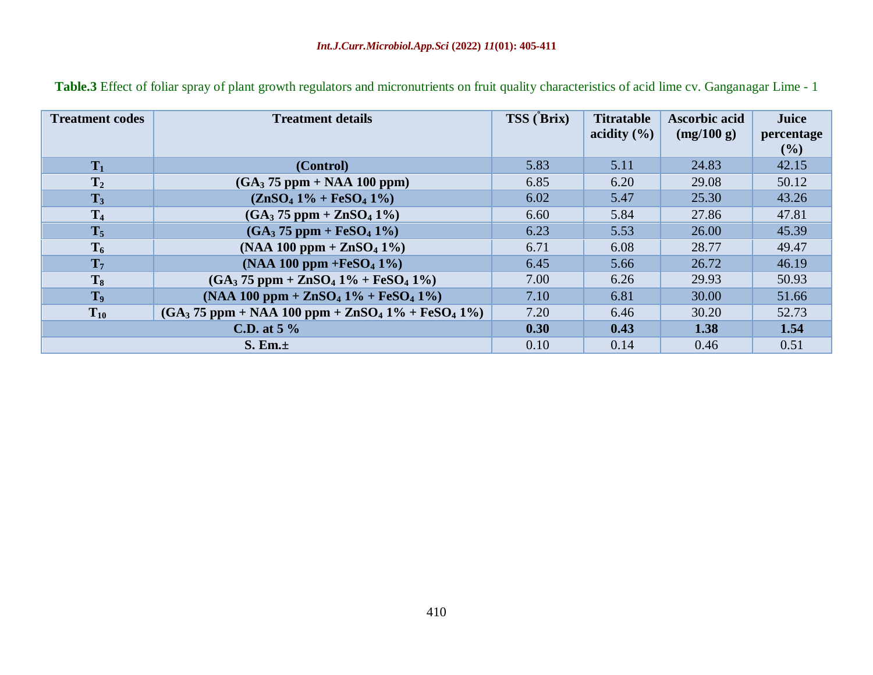| <b>Treatment codes</b> | <b>Treatment details</b>                           | TSS (Brix) | <b>Titratable</b><br>acidity $(\% )$ | <b>Ascorbic acid</b><br>(mg/100 g) | Juice<br>percentage<br>$($ %) |
|------------------------|----------------------------------------------------|------------|--------------------------------------|------------------------------------|-------------------------------|
| $T_1$                  | (Control)                                          | 5.83       | 5.11                                 | 24.83                              | 42.15                         |
| T <sub>2</sub>         | $(GA3 75 ppm + NAA 100 ppm)$                       | 6.85       | 6.20                                 | 29.08                              | 50.12                         |
| $T_3$                  | $(ZnSO4 1\% + FeSO4 1\%)$                          | 6.02       | 5.47                                 | 25.30                              | 43.26                         |
| T <sub>4</sub>         | $(GA_3 75 ppm + ZnSO_4 1\%)$                       | 6.60       | 5.84                                 | 27.86                              | 47.81                         |
| $T_5$                  | $(GA_3 75 ppm + FeSO_4 1\%)$                       | 6.23       | 5.53                                 | 26.00                              | 45.39                         |
| $T_6$                  | $(NAA 100 ppm + ZnSO4 1%)$                         | 6.71       | 6.08                                 | 28.77                              | 49.47                         |
| T <sub>7</sub>         | $(NAA 100 ppm + FeSO4 1%)$                         | 6.45       | 5.66                                 | 26.72                              | 46.19                         |
| T <sub>8</sub>         | $(GA3 75 ppm + ZnSO4 1% + FeSO4 1%)$               | 7.00       | 6.26                                 | 29.93                              | 50.93                         |
| T <sub>9</sub>         | $(NAA 100 ppm + ZnSO4 1% + FeSO4 1%)$              | 7.10       | 6.81                                 | 30.00                              | 51.66                         |
| $T_{10}$               | $(GA3 75 ppm + NAA 100 ppm + ZnSO4 1% + FeSO4 1%)$ | 7.20       | 6.46                                 | 30.20                              | 52.73                         |
|                        | C.D. at $5\%$                                      | 0.30       | 0.43                                 | 1.38                               | 1.54                          |
|                        | S. Em.±                                            | 0.10       | 0.14                                 | 0.46                               | 0.51                          |

**Table.3** Effect of foliar spray of plant growth regulators and micronutrients on fruit quality characteristics of acid lime cv. Ganganagar Lime - 1